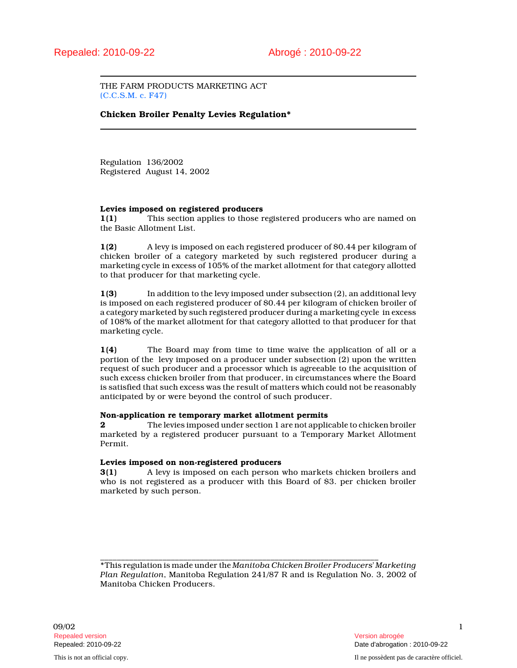THE FARM PRODUCTS MARKETING ACT (C.C.S.M. c. F47)

# Chicken Broiler Penalty Levies Regulation\*

Regulation 136/2002 Registered August 14, 2002

## Levies imposed on registered producers

1(1) This section applies to those registered producers who are named on the Basic Allotment List.

1(2) A levy is imposed on each registered producer of \$0.44 per kilogram of chicken broiler of a category marketed by such registered producer during a marketing cycle in excess of 105% of the market allotment for that category allotted to that producer for that marketing cycle.

1(3) In addition to the levy imposed under subsection (2), an additional levy is imposed on each registered producer of \$0.44 per kilogram of chicken broiler of a category marketed by such registered producer during a marketing cycle in excess of 108% of the market allotment for that category allotted to that producer for that marketing cycle.

1(4) The Board may from time to time waive the application of all or a portion of the levy imposed on a producer under subsection (2) upon the written request of such producer and a processor which is agreeable to the acquisition of such excess chicken broiler from that producer, in circumstances where the Board is satisfied that such excess was the result of matters which could not be reasonably anticipated by or were beyond the control of such producer.

## Non-application re temporary market allotment permits

2 The levies imposed under section 1 are not applicable to chicken broiler marketed by a registered producer pursuant to a Temporary Market Allotment Permit.

## Levies imposed on non-registered producers

3(1) A levy is imposed on each person who markets chicken broilers and who is not registered as a producer with this Board of \$3. per chicken broiler marketed by such person.

\_\_\_\_\_\_\_\_\_\_\_\_\_\_\_\_\_\_\_\_\_\_\_\_\_\_\_\_\_\_\_\_\_\_\_\_\_\_\_\_\_\_\_\_\_\_\_\_\_\_\_\_\_\_\_\_\_\_\_\_\_\_\_\_\_\_\_ \*This regulation is made under the Manitoba Chicken Broiler Producers' Marketing Plan Regulation, Manitoba Regulation 241/87 R and is Regulation No. 3, 2002 of Manitoba Chicken Producers.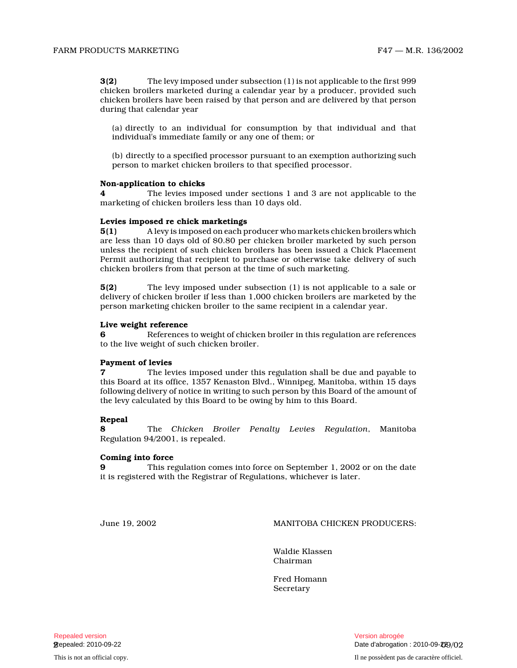3(2) The levy imposed under subsection (1) is not applicable to the first 999 chicken broilers marketed during a calendar year by a producer, provided such chicken broilers have been raised by that person and are delivered by that person during that calendar year

(a) directly to an individual for consumption by that individual and that individual's immediate family or any one of them; o r

(b) directly to a specified processor pursuant to an exemption authorizing such person to market chicken broilers to that specified processor.

#### Non-application to chicks

The levies imposed under sections 1 and 3 are not applicable to the marketing of chicken broilers less than 10 days old .

### Levies imposed re chick marketings

5(1) A levy is imposed on each producer who markets chicken broilers which are less than 10 days old of \$0.80 per chicken broiler marketed by such person unless the recipient of such chicken broilers has been issued a Chick Placement Permit authorizing that recipient to purchase or otherwise take delivery of such chicken broilers from that person at the time of such marketing.

5(2) The levy imposed under subsection (1) is not applicable to a sale or delivery of chicken broiler if less than 1,000 chicken broilers are marketed by the person marketing chicken broiler to the same recipient in a calendar year.

#### Live weight reference

6 References to weight of chicken broiler in this regulation are references to the live weight of such chicken broiler.

## Payment of levies

7 The levies imposed under this regulation shall be due and payable to this Board at its office, 1357 Kenaston Blvd., Winnipeg, Manitoba, within 15 days following delivery of notice in writing to such person by this Board of the amount of the levy calculated by this Board to be owing by him to this Board.

## Repeal

8 The Chicken Broiler Penalty Levies Regulation, Manitoba Regulation 94/2001, is repealed.

#### Coming into force

9 This regulation comes into force on September 1, 2002 or on the date it is registered with the Registrar of Regulations, whichever is later.

June 19, 2002 MANITOBA CHICKEN PRODUCERS:

Waldie Klassen Chairman

Fred Homann **Secretary**